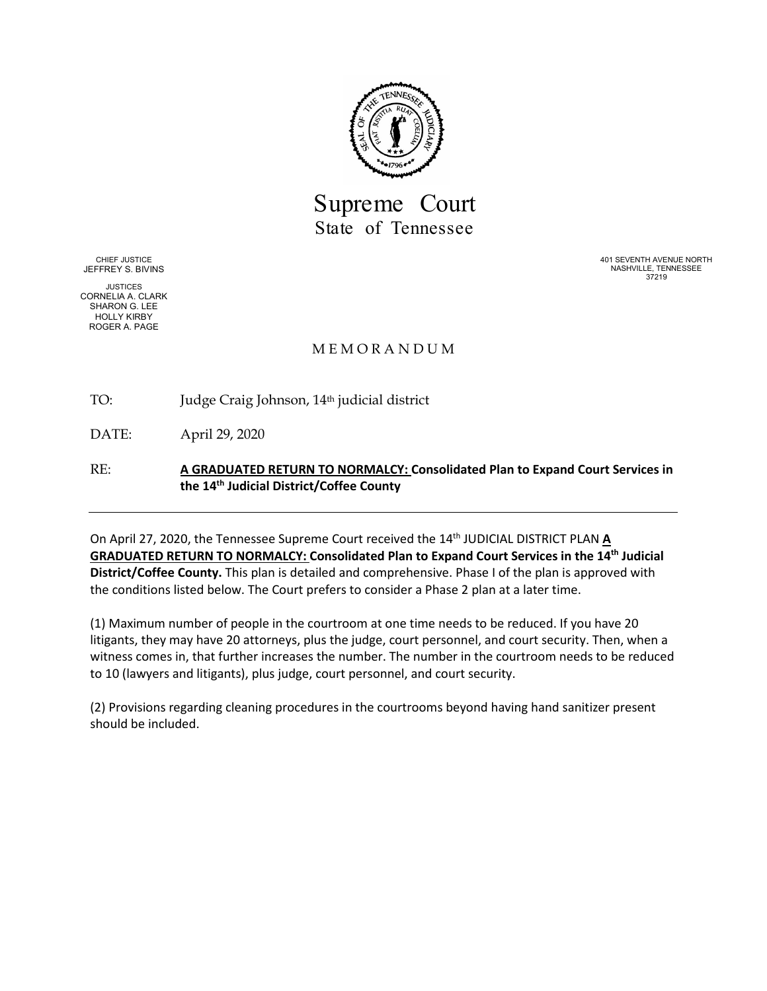

Supreme Court State of Tennessee

CHIEF JUSTICE JEFFREY S. BIVINS

JUSTICES CORNELIA A. CLARK SHARON G. LEE HOLLY KIRBY ROGER A. PAGE

401 SEVENTH AVENUE NORTH NASHVILLE, TENNESSEE 37219

#### M E M O R A N D U M

TO: Judge Craig Johnson, 14<sup>th</sup> judicial district

DATE: April 29, 2020

RE: **A GRADUATED RETURN TO NORMALCY: Consolidated Plan to Expand Court Services in the 14th Judicial District/Coffee County**

On April 27, 2020, the Tennessee Supreme Court received the 14<sup>th</sup> JUDICIAL DISTRICT PLAN A **GRADUATED RETURN TO NORMALCY: Consolidated Plan to Expand Court Services in the 14th Judicial District/Coffee County.** This plan is detailed and comprehensive. Phase I of the plan is approved with the conditions listed below. The Court prefers to consider a Phase 2 plan at a later time.

(1) Maximum number of people in the courtroom at one time needs to be reduced. If you have 20 litigants, they may have 20 attorneys, plus the judge, court personnel, and court security. Then, when a witness comes in, that further increases the number. The number in the courtroom needs to be reduced to 10 (lawyers and litigants), plus judge, court personnel, and court security.

(2) Provisions regarding cleaning procedures in the courtrooms beyond having hand sanitizer present should be included.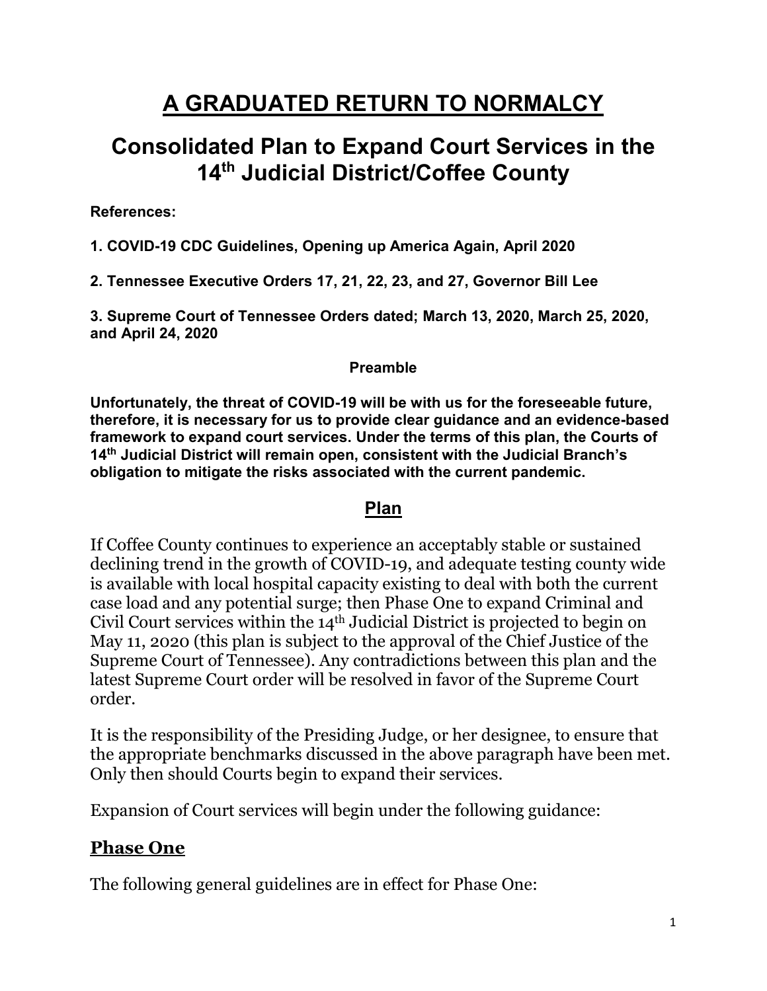# **A GRADUATED RETURN TO NORMALCY**

# **Consolidated Plan to Expand Court Services in the 14th Judicial District/Coffee County**

**References:**

**1. COVID-19 CDC Guidelines, Opening up America Again, April 2020**

**2. Tennessee Executive Orders 17, 21, 22, 23, and 27, Governor Bill Lee**

**3. Supreme Court of Tennessee Orders dated; March 13, 2020, March 25, 2020, and April 24, 2020**

#### **Preamble**

**Unfortunately, the threat of COVID-19 will be with us for the foreseeable future, therefore, it is necessary for us to provide clear guidance and an evidence-based framework to expand court services. Under the terms of this plan, the Courts of 14th Judicial District will remain open, consistent with the Judicial Branch's obligation to mitigate the risks associated with the current pandemic.**

### **Plan**

If Coffee County continues to experience an acceptably stable or sustained declining trend in the growth of COVID-19, and adequate testing county wide is available with local hospital capacity existing to deal with both the current case load and any potential surge; then Phase One to expand Criminal and Civil Court services within the 14th Judicial District is projected to begin on May 11, 2020 (this plan is subject to the approval of the Chief Justice of the Supreme Court of Tennessee). Any contradictions between this plan and the latest Supreme Court order will be resolved in favor of the Supreme Court order.

It is the responsibility of the Presiding Judge, or her designee, to ensure that the appropriate benchmarks discussed in the above paragraph have been met. Only then should Courts begin to expand their services.

Expansion of Court services will begin under the following guidance:

# **Phase One**

The following general guidelines are in effect for Phase One: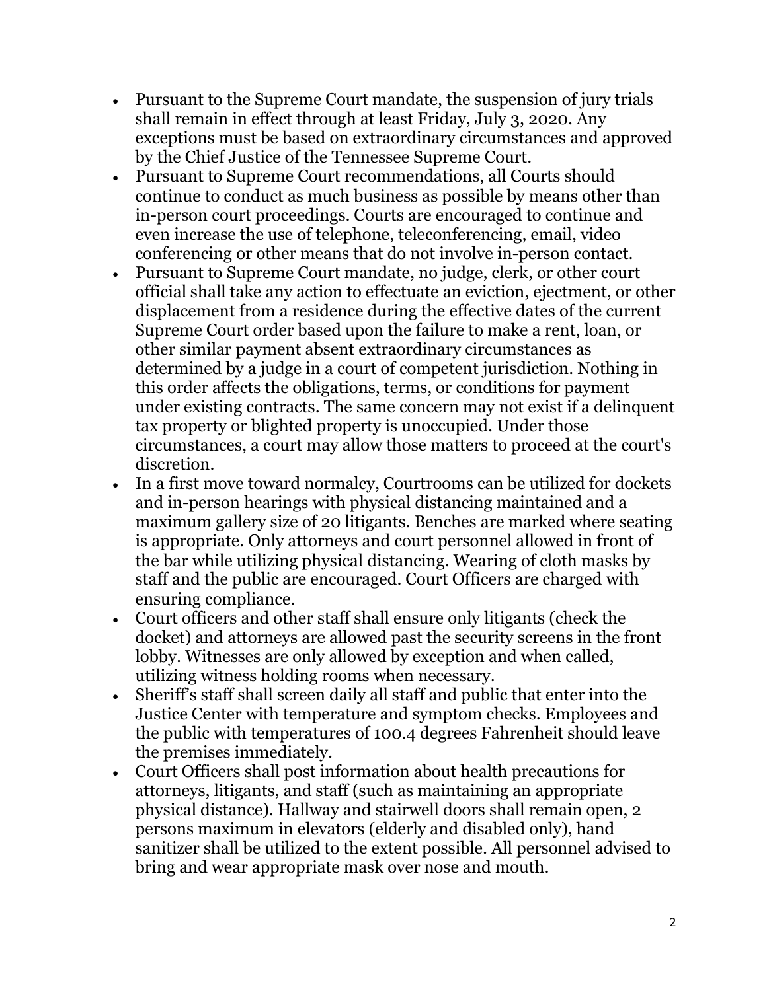- Pursuant to the Supreme Court mandate, the suspension of jury trials shall remain in effect through at least Friday, July 3, 2020. Any exceptions must be based on extraordinary circumstances and approved by the Chief Justice of the Tennessee Supreme Court.
- Pursuant to Supreme Court recommendations, all Courts should continue to conduct as much business as possible by means other than in-person court proceedings. Courts are encouraged to continue and even increase the use of telephone, teleconferencing, email, video conferencing or other means that do not involve in-person contact.
- Pursuant to Supreme Court mandate, no judge, clerk, or other court official shall take any action to effectuate an eviction, ejectment, or other displacement from a residence during the effective dates of the current Supreme Court order based upon the failure to make a rent, loan, or other similar payment absent extraordinary circumstances as determined by a judge in a court of competent jurisdiction. Nothing in this order affects the obligations, terms, or conditions for payment under existing contracts. The same concern may not exist if a delinquent tax property or blighted property is unoccupied. Under those circumstances, a court may allow those matters to proceed at the court's discretion.
- In a first move toward normalcy, Courtrooms can be utilized for dockets and in-person hearings with physical distancing maintained and a maximum gallery size of 20 litigants. Benches are marked where seating is appropriate. Only attorneys and court personnel allowed in front of the bar while utilizing physical distancing. Wearing of cloth masks by staff and the public are encouraged. Court Officers are charged with ensuring compliance.
- Court officers and other staff shall ensure only litigants (check the docket) and attorneys are allowed past the security screens in the front lobby. Witnesses are only allowed by exception and when called, utilizing witness holding rooms when necessary.
- Sheriff's staff shall screen daily all staff and public that enter into the Justice Center with temperature and symptom checks. Employees and the public with temperatures of 100.4 degrees Fahrenheit should leave the premises immediately.
- Court Officers shall post information about health precautions for attorneys, litigants, and staff (such as maintaining an appropriate physical distance). Hallway and stairwell doors shall remain open, 2 persons maximum in elevators (elderly and disabled only), hand sanitizer shall be utilized to the extent possible. All personnel advised to bring and wear appropriate mask over nose and mouth.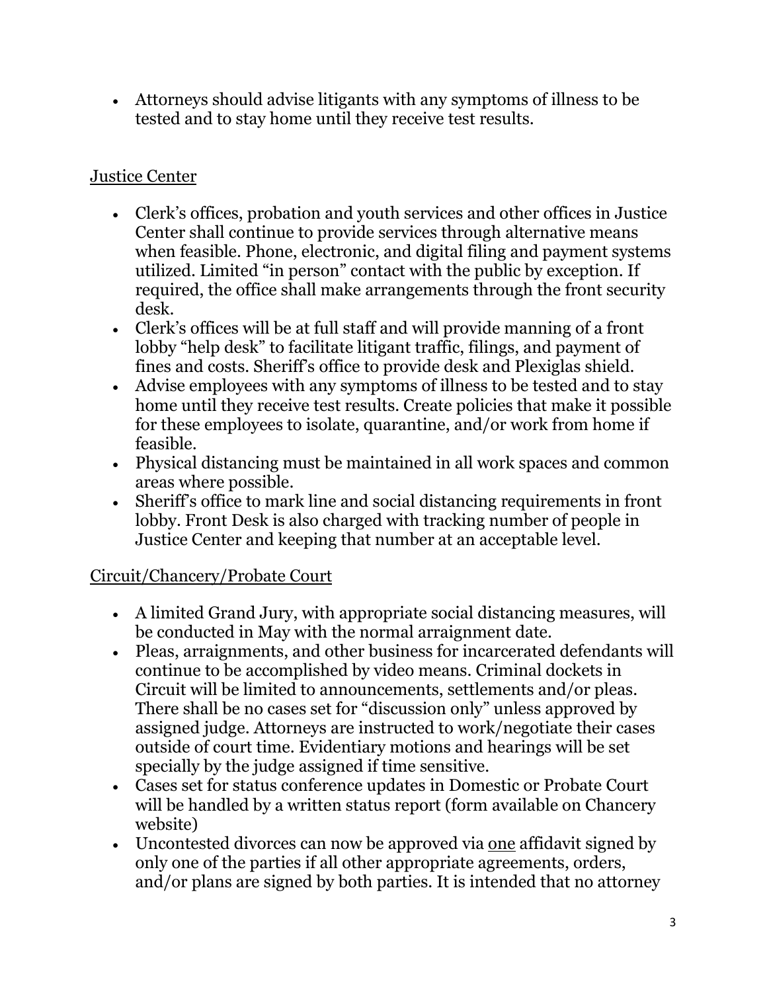• Attorneys should advise litigants with any symptoms of illness to be tested and to stay home until they receive test results.

## Justice Center

- Clerk's offices, probation and youth services and other offices in Justice Center shall continue to provide services through alternative means when feasible. Phone, electronic, and digital filing and payment systems utilized. Limited "in person" contact with the public by exception. If required, the office shall make arrangements through the front security desk.
- Clerk's offices will be at full staff and will provide manning of a front lobby "help desk" to facilitate litigant traffic, filings, and payment of fines and costs. Sheriff's office to provide desk and Plexiglas shield.
- Advise employees with any symptoms of illness to be tested and to stay home until they receive test results. Create policies that make it possible for these employees to isolate, quarantine, and/or work from home if feasible.
- Physical distancing must be maintained in all work spaces and common areas where possible.
- Sheriff's office to mark line and social distancing requirements in front lobby. Front Desk is also charged with tracking number of people in Justice Center and keeping that number at an acceptable level.

# Circuit/Chancery/Probate Court

- A limited Grand Jury, with appropriate social distancing measures, will be conducted in May with the normal arraignment date.
- Pleas, arraignments, and other business for incarcerated defendants will continue to be accomplished by video means. Criminal dockets in Circuit will be limited to announcements, settlements and/or pleas. There shall be no cases set for "discussion only" unless approved by assigned judge. Attorneys are instructed to work/negotiate their cases outside of court time. Evidentiary motions and hearings will be set specially by the judge assigned if time sensitive.
- Cases set for status conference updates in Domestic or Probate Court will be handled by a written status report (form available on Chancery website)
- Uncontested divorces can now be approved via one affidavit signed by only one of the parties if all other appropriate agreements, orders, and/or plans are signed by both parties. It is intended that no attorney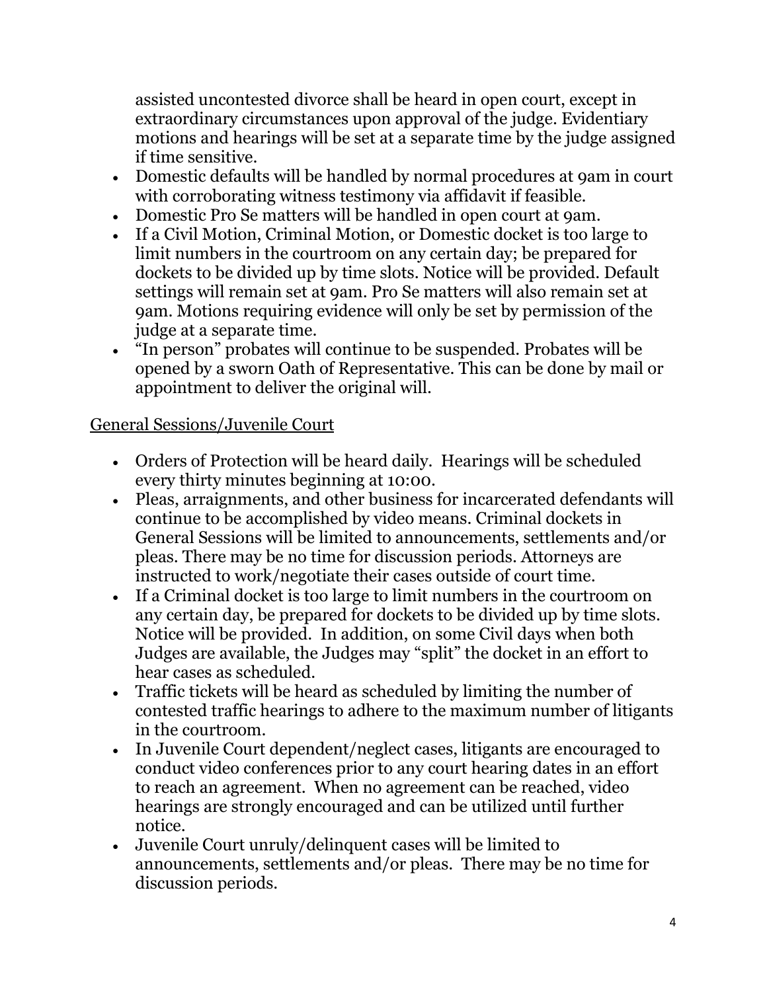assisted uncontested divorce shall be heard in open court, except in extraordinary circumstances upon approval of the judge. Evidentiary motions and hearings will be set at a separate time by the judge assigned if time sensitive.

- Domestic defaults will be handled by normal procedures at 9am in court with corroborating witness testimony via affidavit if feasible.
- Domestic Pro Se matters will be handled in open court at 9am.
- If a Civil Motion, Criminal Motion, or Domestic docket is too large to limit numbers in the courtroom on any certain day; be prepared for dockets to be divided up by time slots. Notice will be provided. Default settings will remain set at 9am. Pro Se matters will also remain set at 9am. Motions requiring evidence will only be set by permission of the judge at a separate time.
- "In person" probates will continue to be suspended. Probates will be opened by a sworn Oath of Representative. This can be done by mail or appointment to deliver the original will.

### General Sessions/Juvenile Court

- Orders of Protection will be heard daily. Hearings will be scheduled every thirty minutes beginning at 10:00.
- Pleas, arraignments, and other business for incarcerated defendants will continue to be accomplished by video means. Criminal dockets in General Sessions will be limited to announcements, settlements and/or pleas. There may be no time for discussion periods. Attorneys are instructed to work/negotiate their cases outside of court time.
- If a Criminal docket is too large to limit numbers in the courtroom on any certain day, be prepared for dockets to be divided up by time slots. Notice will be provided. In addition, on some Civil days when both Judges are available, the Judges may "split" the docket in an effort to hear cases as scheduled.
- Traffic tickets will be heard as scheduled by limiting the number of contested traffic hearings to adhere to the maximum number of litigants in the courtroom.
- In Juvenile Court dependent/neglect cases, litigants are encouraged to conduct video conferences prior to any court hearing dates in an effort to reach an agreement. When no agreement can be reached, video hearings are strongly encouraged and can be utilized until further notice.
- Juvenile Court unruly/delinquent cases will be limited to announcements, settlements and/or pleas. There may be no time for discussion periods.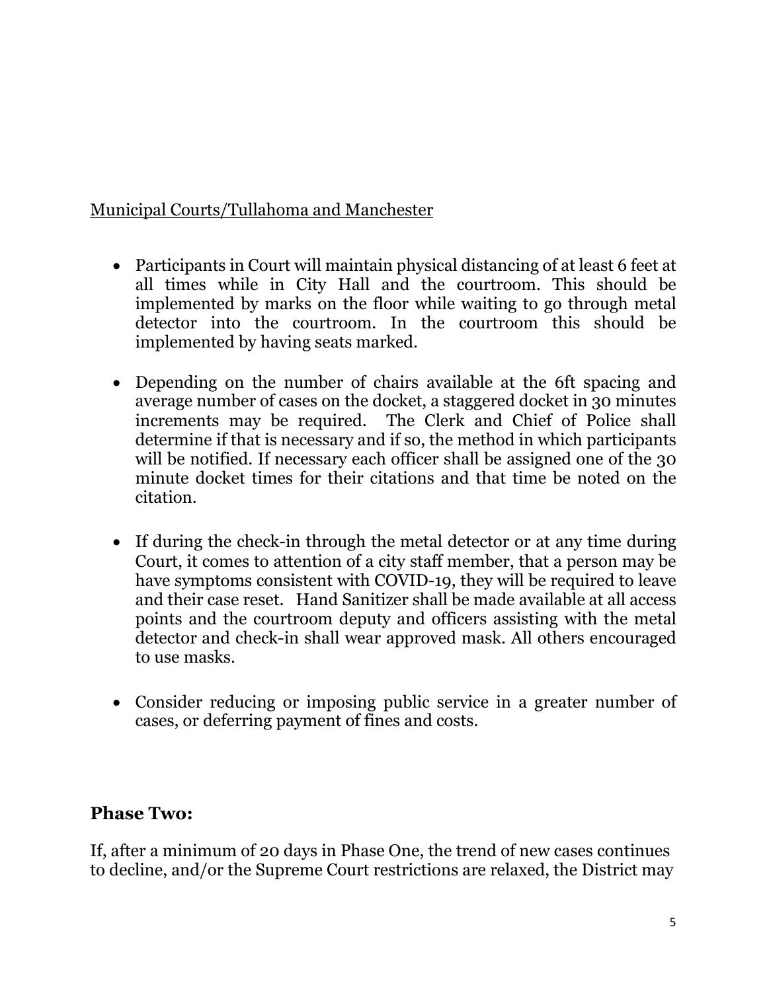## Municipal Courts/Tullahoma and Manchester

- Participants in Court will maintain physical distancing of at least 6 feet at all times while in City Hall and the courtroom. This should be implemented by marks on the floor while waiting to go through metal detector into the courtroom. In the courtroom this should be implemented by having seats marked.
- Depending on the number of chairs available at the 6ft spacing and average number of cases on the docket, a staggered docket in 30 minutes increments may be required. The Clerk and Chief of Police shall determine if that is necessary and if so, the method in which participants will be notified. If necessary each officer shall be assigned one of the 30 minute docket times for their citations and that time be noted on the citation.
- If during the check-in through the metal detector or at any time during Court, it comes to attention of a city staff member, that a person may be have symptoms consistent with COVID-19, they will be required to leave and their case reset. Hand Sanitizer shall be made available at all access points and the courtroom deputy and officers assisting with the metal detector and check-in shall wear approved mask. All others encouraged to use masks.
- Consider reducing or imposing public service in a greater number of cases, or deferring payment of fines and costs.

# **Phase Two:**

If, after a minimum of 20 days in Phase One, the trend of new cases continues to decline, and/or the Supreme Court restrictions are relaxed, the District may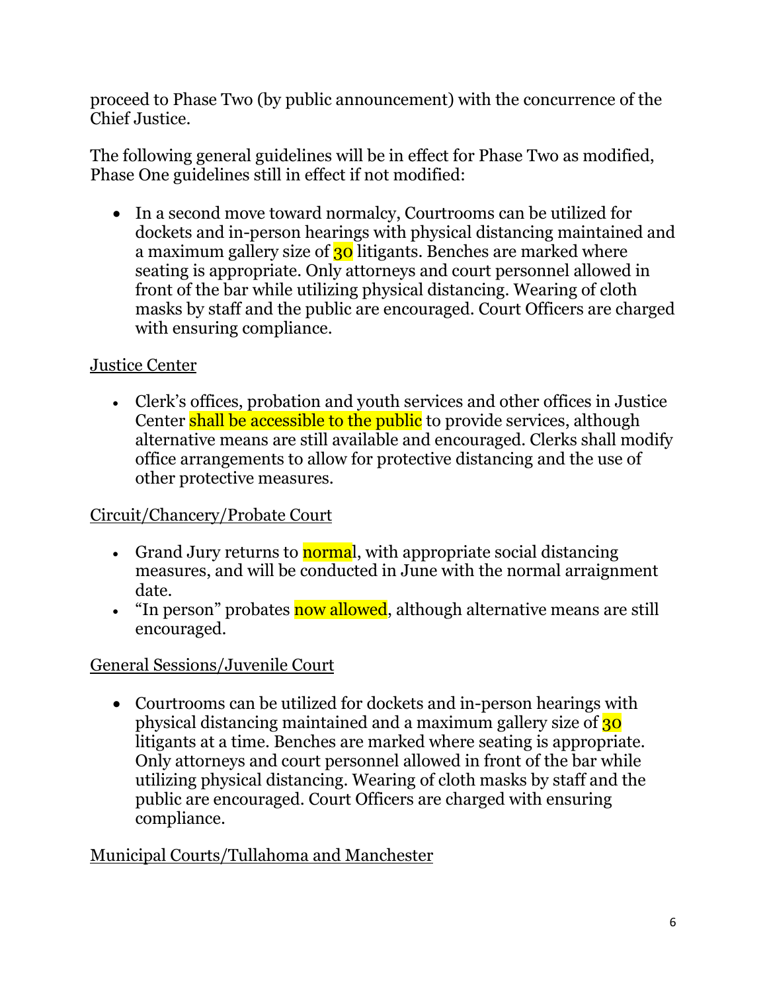proceed to Phase Two (by public announcement) with the concurrence of the Chief Justice.

The following general guidelines will be in effect for Phase Two as modified, Phase One guidelines still in effect if not modified:

• In a second move toward normalcy, Courtrooms can be utilized for dockets and in-person hearings with physical distancing maintained and a maximum gallery size of  $30$  litigants. Benches are marked where seating is appropriate. Only attorneys and court personnel allowed in front of the bar while utilizing physical distancing. Wearing of cloth masks by staff and the public are encouraged. Court Officers are charged with ensuring compliance.

# Justice Center

• Clerk's offices, probation and youth services and other offices in Justice Center shall be accessible to the public to provide services, although alternative means are still available and encouraged. Clerks shall modify office arrangements to allow for protective distancing and the use of other protective measures.

# Circuit/Chancery/Probate Court

- Grand Jury returns to normal, with appropriate social distancing measures, and will be conducted in June with the normal arraignment date.
- "In person" probates now allowed, although alternative means are still encouraged.

# General Sessions/Juvenile Court

• Courtrooms can be utilized for dockets and in-person hearings with physical distancing maintained and a maximum gallery size of 30 litigants at a time. Benches are marked where seating is appropriate. Only attorneys and court personnel allowed in front of the bar while utilizing physical distancing. Wearing of cloth masks by staff and the public are encouraged. Court Officers are charged with ensuring compliance.

# Municipal Courts/Tullahoma and Manchester